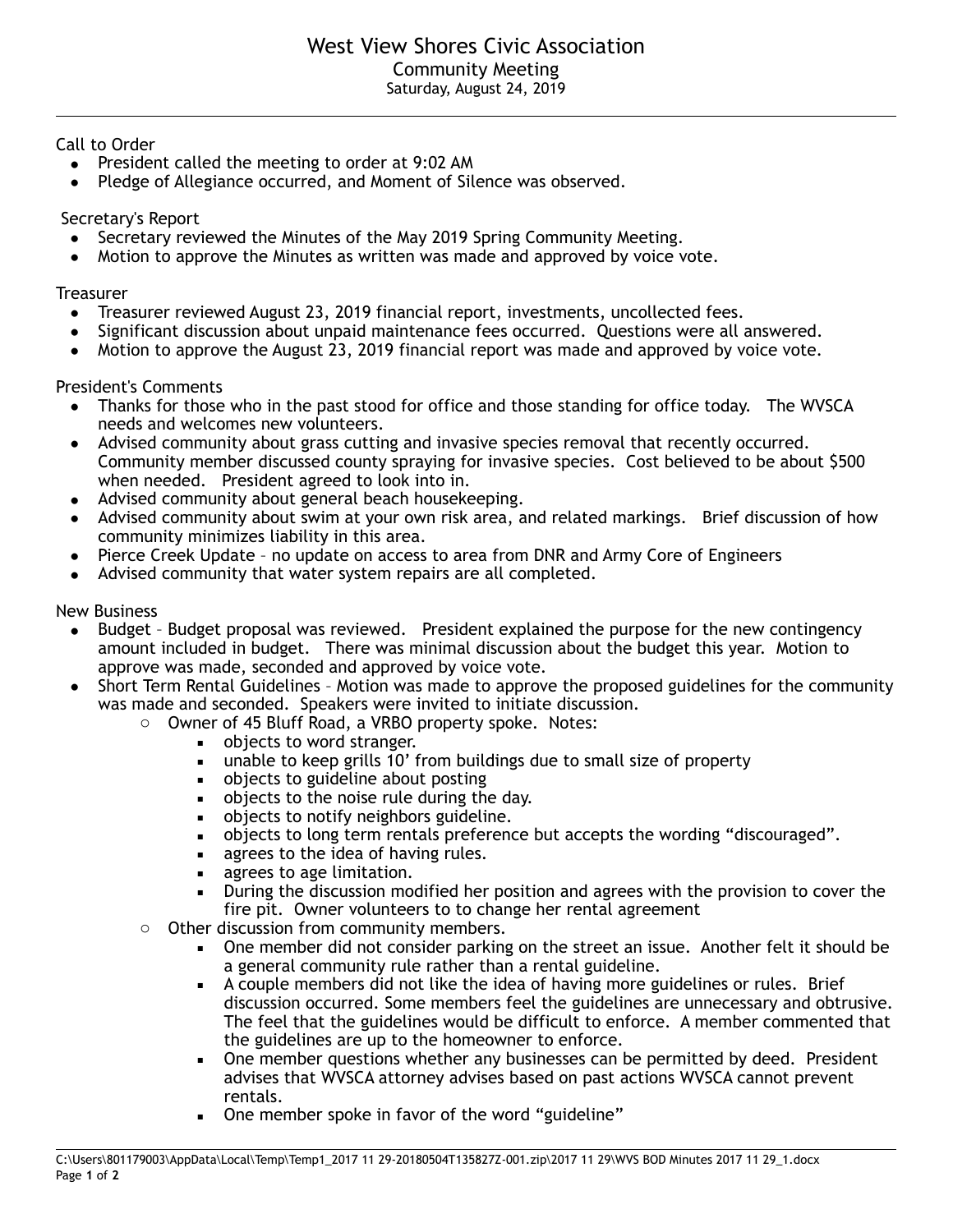Call to Order

- President called the meeting to order at 9:02 AM
- Pledge of Allegiance occurred, and Moment of Silence was observed.

Secretary's Report

- Secretary reviewed the Minutes of the May 2019 Spring Community Meeting.
- Motion to approve the Minutes as written was made and approved by voice vote.

## **Treasurer**

- Treasurer reviewed August 23, 2019 financial report, investments, uncollected fees.
- Significant discussion about unpaid maintenance fees occurred. Questions were all answered.
- Motion to approve the August 23, 2019 financial report was made and approved by voice vote.

President's Comments

- Thanks for those who in the past stood for office and those standing for office today. The WVSCA needs and welcomes new volunteers.
- Advised community about grass cutting and invasive species removal that recently occurred. Community member discussed county spraying for invasive species. Cost believed to be about \$500 when needed. President agreed to look into in.
- Advised community about general beach housekeeping.
- Advised community about swim at your own risk area, and related markings. Brief discussion of how community minimizes liability in this area.
- Pierce Creek Update no update on access to area from DNR and Army Core of Engineers
- Advised community that water system repairs are all completed.

New Business

- Budget Budget proposal was reviewed. President explained the purpose for the new contingency amount included in budget. There was minimal discussion about the budget this year. Motion to approve was made, seconded and approved by voice vote.
- Short Term Rental Guidelines Motion was made to approve the proposed guidelines for the community was made and seconded. Speakers were invited to initiate discussion.
	- o Owner of 45 Bluff Road, a VRBO property spoke. Notes:
		- objects to word stranger.
		- unable to keep grills 10' from buildings due to small size of property
		- **•** objects to guideline about posting
		- **•** objects to the noise rule during the day.
		- **•** objects to notify neighbors guideline.
		- objects to long term rentals preference but accepts the wording "discouraged".
		- agrees to the idea of having rules.
		- agrees to age limitation.
		- **•** During the discussion modified her position and agrees with the provision to cover the fire pit. Owner volunteers to to change her rental agreement
	- o Other discussion from community members.
		- One member did not consider parking on the street an issue. Another felt it should be a general community rule rather than a rental guideline.
		- A couple members did not like the idea of having more guidelines or rules. Brief discussion occurred. Some members feel the guidelines are unnecessary and obtrusive. The feel that the guidelines would be difficult to enforce. A member commented that the guidelines are up to the homeowner to enforce.
		- One member questions whether any businesses can be permitted by deed. President advises that WVSCA attorney advises based on past actions WVSCA cannot prevent rentals.
		- One member spoke in favor of the word "guideline"